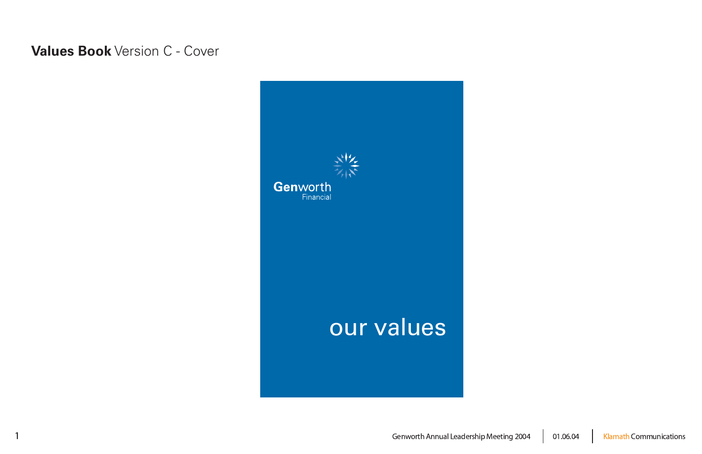

06.04

#### 4 | Klamath Communications

## **Values Book** Version C - Cover

 $\overline{1}$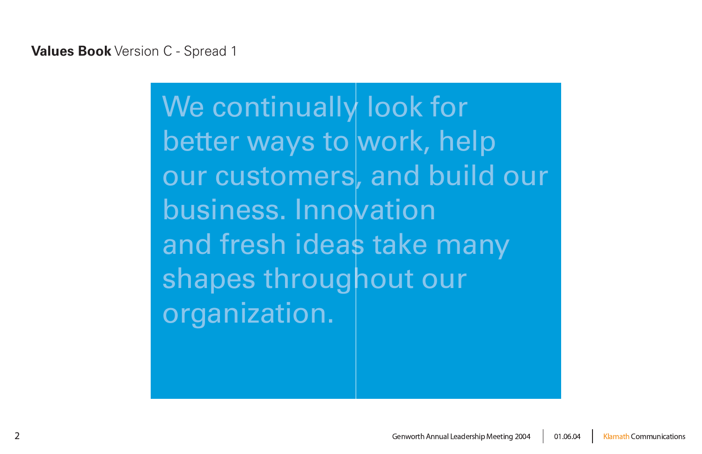We continually look for better ways to work, help our customers, and build our business. Innovation and fresh ideas take many shapes throughout our organization.

06.04

#### 4 | Klamath Communications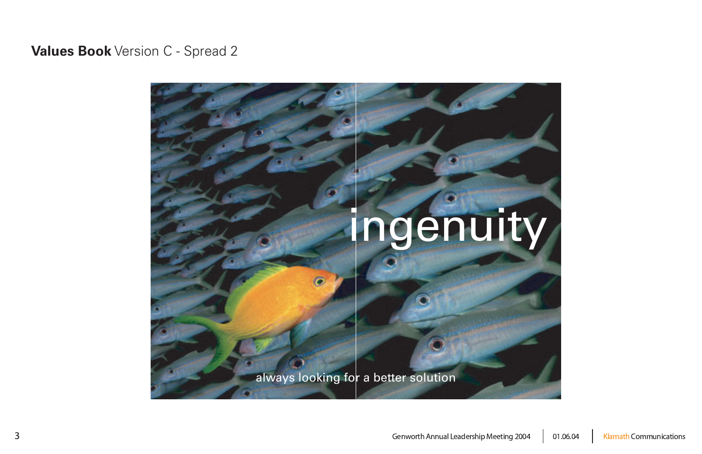# ingenuity

always looking for a better solution

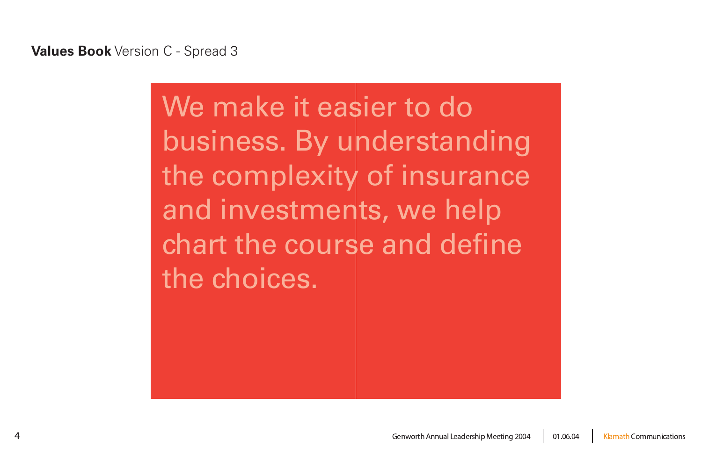# We make it easier to do business. By understanding the complexity of insurance and investments, we help chart the course and define the choices.

06.04 4 | Klamath Communications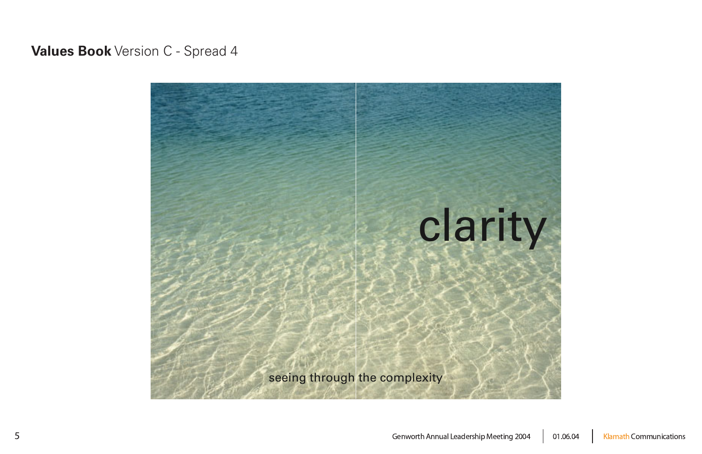

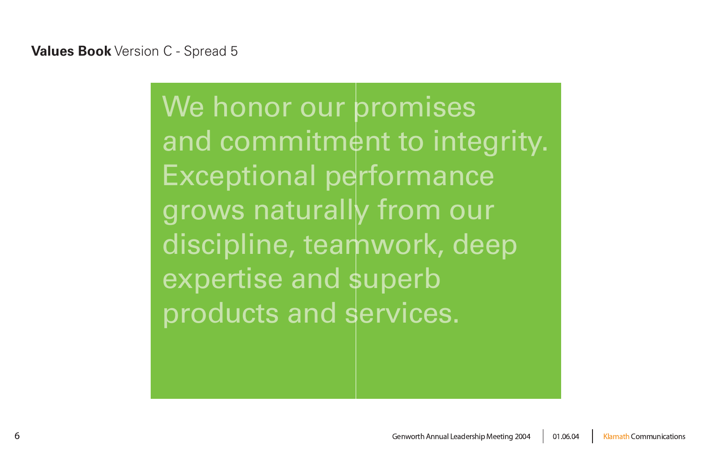We honor our promises and commitment to integrity. Exceptional performance grows naturally from our discipline, teamwork, deep expertise and superb products and services.



06.04 4 | Klamath Communications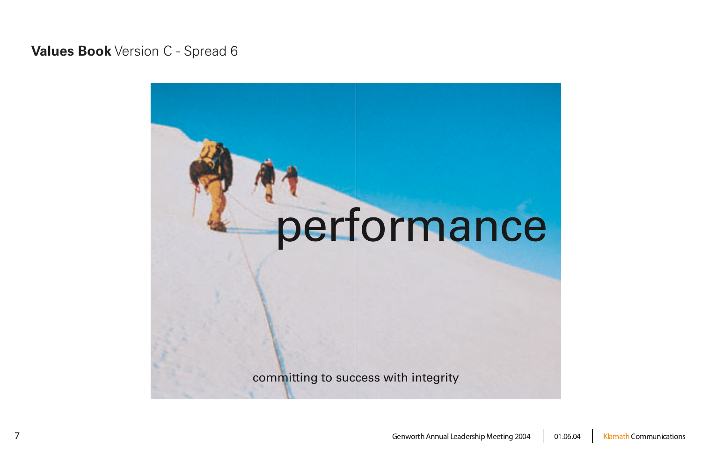# performance

committing to success with integrity



06.04 Klamath Communications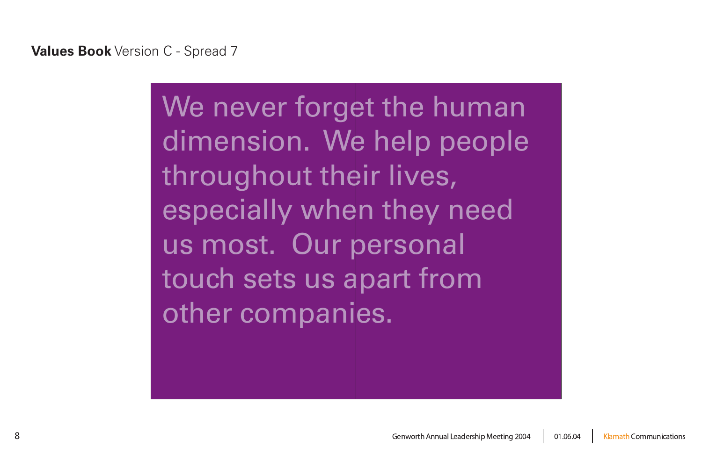

**Values Book** Version C - Spread 7

# We never forget the human dimension. We help people throughout their lives, especially when they need us most. Our personal touch sets us apart from other companies.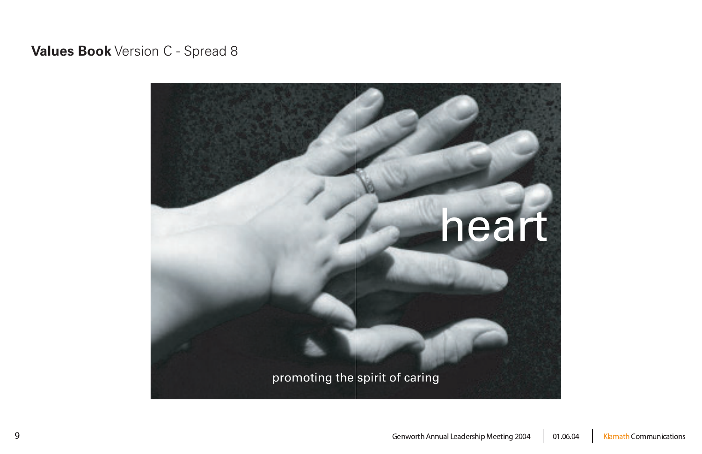